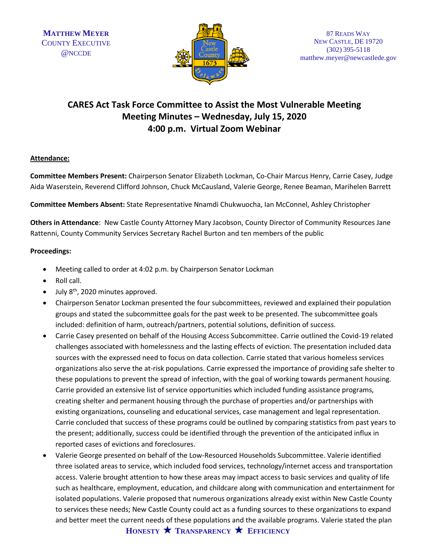

# **CARES Act Task Force Committee to Assist the Most Vulnerable Meeting Meeting Minutes – Wednesday, July 15, 2020 4:00 p.m. Virtual Zoom Webinar**

### **Attendance:**

**Committee Members Present:** Chairperson Senator Elizabeth Lockman, Co-Chair Marcus Henry, Carrie Casey, Judge Aida Waserstein, Reverend Clifford Johnson, Chuck McCausland, Valerie George, Renee Beaman, Marihelen Barrett

**Committee Members Absent:** State Representative Nnamdi Chukwuocha, Ian McConnel, Ashley Christopher

**Others in Attendance**: New Castle County Attorney Mary Jacobson, County Director of Community Resources Jane Rattenni, County Community Services Secretary Rachel Burton and ten members of the public

### **Proceedings:**

- Meeting called to order at 4:02 p.m. by Chairperson Senator Lockman
- Roll call.
- July 8<sup>th</sup>, 2020 minutes approved.
- Chairperson Senator Lockman presented the four subcommittees, reviewed and explained their population groups and stated the subcommittee goals for the past week to be presented. The subcommittee goals included: definition of harm, outreach/partners, potential solutions, definition of success.
- Carrie Casey presented on behalf of the Housing Access Subcommittee. Carrie outlined the Covid-19 related challenges associated with homelessness and the lasting effects of eviction. The presentation included data sources with the expressed need to focus on data collection. Carrie stated that various homeless services organizations also serve the at-risk populations. Carrie expressed the importance of providing safe shelter to these populations to prevent the spread of infection, with the goal of working towards permanent housing. Carrie provided an extensive list of service opportunities which included funding assistance programs, creating shelter and permanent housing through the purchase of properties and/or partnerships with existing organizations, counseling and educational services, case management and legal representation. Carrie concluded that success of these programs could be outlined by comparing statistics from past years to the present; additionally, success could be identified through the prevention of the anticipated influx in reported cases of evictions and foreclosures.
- Valerie George presented on behalf of the Low-Resourced Households Subcommittee. Valerie identified three isolated areas to service, which included food services, technology/internet access and transportation access. Valerie brought attention to how these areas may impact access to basic services and quality of life such as healthcare, employment, education, and childcare along with communication and entertainment for isolated populations. Valerie proposed that numerous organizations already exist within New Castle County to services these needs; New Castle County could act as a funding sources to these organizations to expand and better meet the current needs of these populations and the available programs. Valerie stated the plan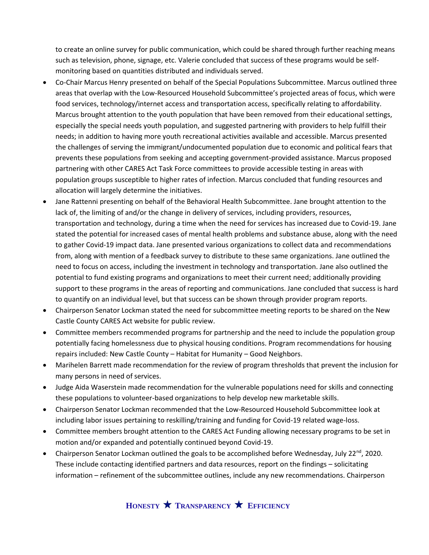to create an online survey for public communication, which could be shared through further reaching means such as television, phone, signage, etc. Valerie concluded that success of these programs would be selfmonitoring based on quantities distributed and individuals served.

- Co-Chair Marcus Henry presented on behalf of the Special Populations Subcommittee. Marcus outlined three areas that overlap with the Low-Resourced Household Subcommittee's projected areas of focus, which were food services, technology/internet access and transportation access, specifically relating to affordability. Marcus brought attention to the youth population that have been removed from their educational settings, especially the special needs youth population, and suggested partnering with providers to help fulfill their needs; in addition to having more youth recreational activities available and accessible. Marcus presented the challenges of serving the immigrant/undocumented population due to economic and political fears that prevents these populations from seeking and accepting government-provided assistance. Marcus proposed partnering with other CARES Act Task Force committees to provide accessible testing in areas with population groups susceptible to higher rates of infection. Marcus concluded that funding resources and allocation will largely determine the initiatives.
- Jane Rattenni presenting on behalf of the Behavioral Health Subcommittee. Jane brought attention to the lack of, the limiting of and/or the change in delivery of services, including providers, resources, transportation and technology, during a time when the need for services has increased due to Covid-19. Jane stated the potential for increased cases of mental health problems and substance abuse, along with the need to gather Covid-19 impact data. Jane presented various organizations to collect data and recommendations from, along with mention of a feedback survey to distribute to these same organizations. Jane outlined the need to focus on access, including the investment in technology and transportation. Jane also outlined the potential to fund existing programs and organizations to meet their current need; additionally providing support to these programs in the areas of reporting and communications. Jane concluded that success is hard to quantify on an individual level, but that success can be shown through provider program reports.
- Chairperson Senator Lockman stated the need for subcommittee meeting reports to be shared on the New Castle County CARES Act website for public review.
- Committee members recommended programs for partnership and the need to include the population group potentially facing homelessness due to physical housing conditions. Program recommendations for housing repairs included: New Castle County – Habitat for Humanity – Good Neighbors.
- Marihelen Barrett made recommendation for the review of program thresholds that prevent the inclusion for many persons in need of services.
- Judge Aida Waserstein made recommendation for the vulnerable populations need for skills and connecting these populations to volunteer-based organizations to help develop new marketable skills.
- Chairperson Senator Lockman recommended that the Low-Resourced Household Subcommittee look at including labor issues pertaining to reskilling/training and funding for Covid-19 related wage-loss.
- Committee members brought attention to the CARES Act Funding allowing necessary programs to be set in motion and/or expanded and potentially continued beyond Covid-19.
- Chairperson Senator Lockman outlined the goals to be accomplished before Wednesday, July 22<sup>nd</sup>, 2020. These include contacting identified partners and data resources, report on the findings – solicitating information – refinement of the subcommittee outlines, include any new recommendations. Chairperson